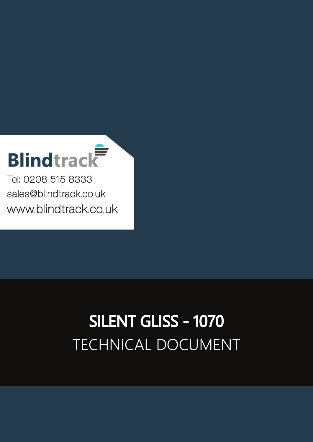## **Blindtrack**

Tel: 0208 515 8333 [sales@blindtrack.co.uk](mailto:sales%40blindtrack.co.uk?subject=) [www.blindtrack.co.uk](http://www.blindtrack.co.uk)

## TECHNICAL DOCUMENT SILENT GLISS - 1070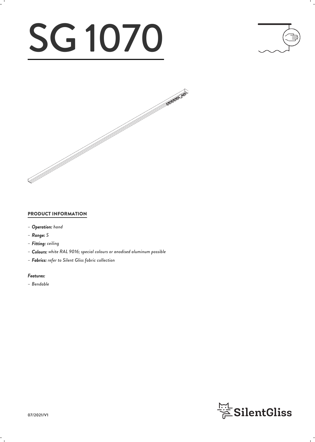# SG 1070





#### PRODUCT INFORMATION

- *– Operation: hand*
- *– Range: S*
- *– Fitting: ceiling*
- *– Colours: white RAL 9016; special colours or anodised aluminum possible*
- *– Fabrics: refer to Silent Gliss fabric collection*

#### *Features:*

*– Bendable*

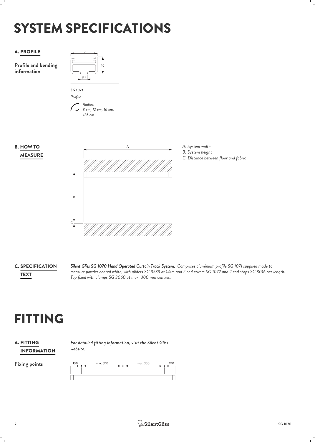## SYSTEM SPECIFICATIONS



**C. SPECIFICATION** 

*Silent Gliss SG 1070 Hand Operated Curtain Track System. Comprises aluminium profile SG 1071 supplied made to* SPECIFICATION *measure powder coated white, with gliders SG 3533 at 14/m and 2 end covers SG 1072 and 2 end stops SG 3016 per length.* **TEXT**<br>Top fixed with clamps SG 3060 at max. 300 mm centres.

## FITTING

#### INFORMATION **A. FITTING**

*For detailed fitting information, visit the Silent Gliss* FITTING *website.*

Fixing points 100 max.300 max. 300 100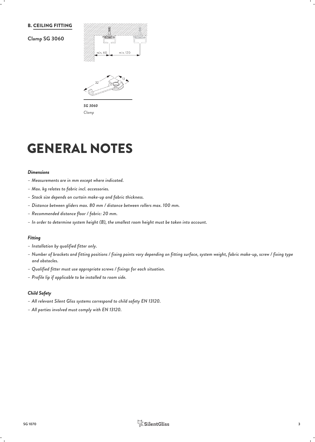#### B. CEILING FITTING

#### **Clamp SG 3060**





*SG 3060 Clamp*

### GENERAL NOTES

#### *Dimensions*

- *– Measurements are in mm except where indicated.*
- *– Max. kg relates to fabric incl. accessories.*
- *– Stack size depends on curtain make-up and fabric thickness.*
- *– Distance between gliders max. 80 mm / distance between rollers max. 100 mm.*
- *– Recommended distance floor / fabric: 20 mm.*
- *– In order to determine system height (B), the smallest room height must be taken into account.*

#### *Fitting*

- *– Installation by qualified fitter only.*
- *– Number of brackets and fitting positions / fixing points vary depending on fitting surface, system weight, fabric make-up, screw / fixing type and obstacles.*
- *– Qualified fitter must use appropriate screws / fixings for each situation.*
- *– Profile lip if applicable to be installed to room side.*

#### *Child Safety*

- *– All relevant Silent Gliss systems correspond to child safety EN 13120.*
- *– All parties involved must comply with EN 13120.*